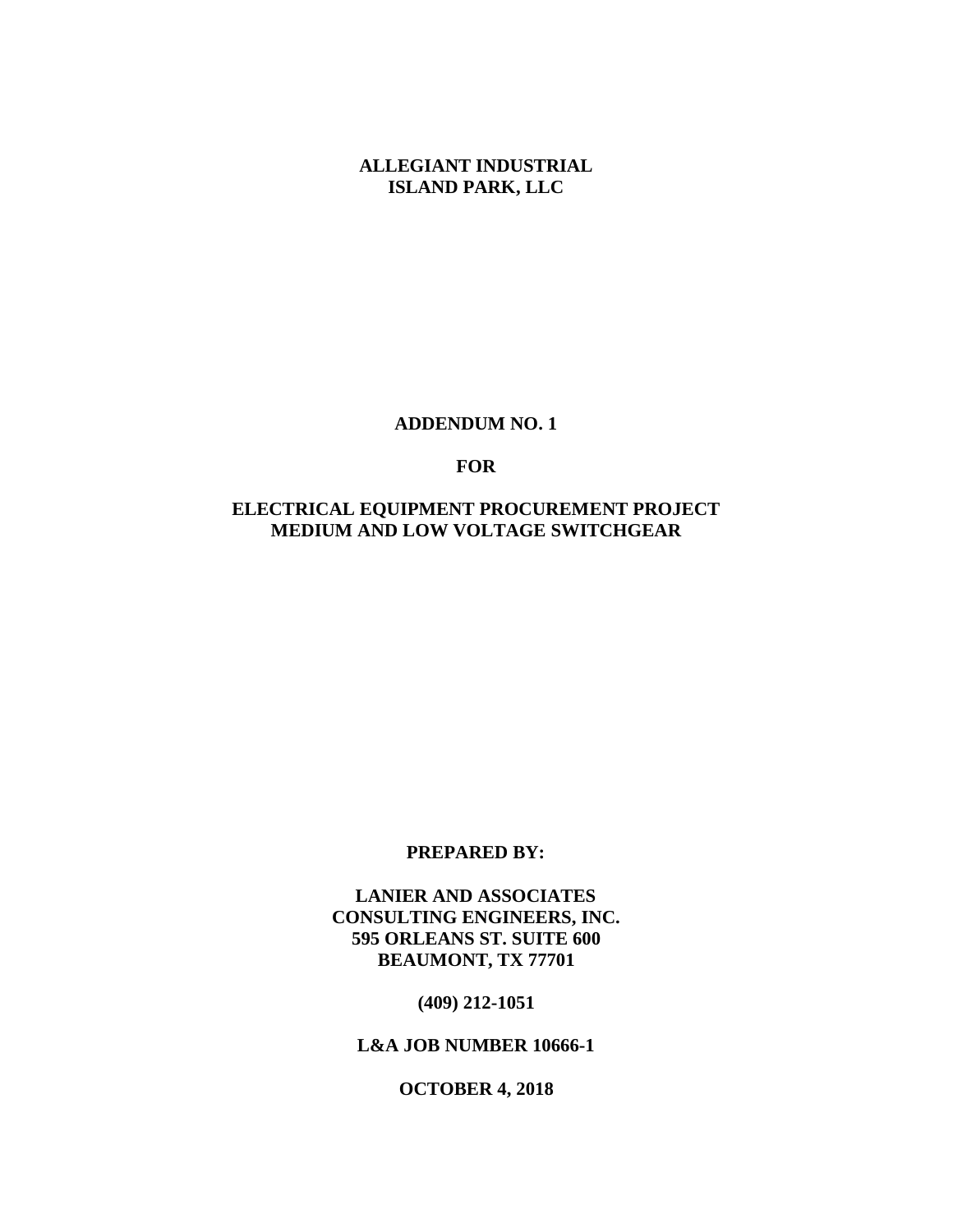**ALLEGIANT INDUSTRIAL ISLAND PARK, LLC**

#### **ADDENDUM NO. 1**

### **FOR**

# **ELECTRICAL EQUIPMENT PROCUREMENT PROJECT MEDIUM AND LOW VOLTAGE SWITCHGEAR**

#### **PREPARED BY:**

**LANIER AND ASSOCIATES CONSULTING ENGINEERS, INC. 595 ORLEANS ST. SUITE 600 BEAUMONT, TX 77701**

**(409) 212-1051**

**L&A JOB NUMBER 10666-1**

**OCTOBER 4, 2018**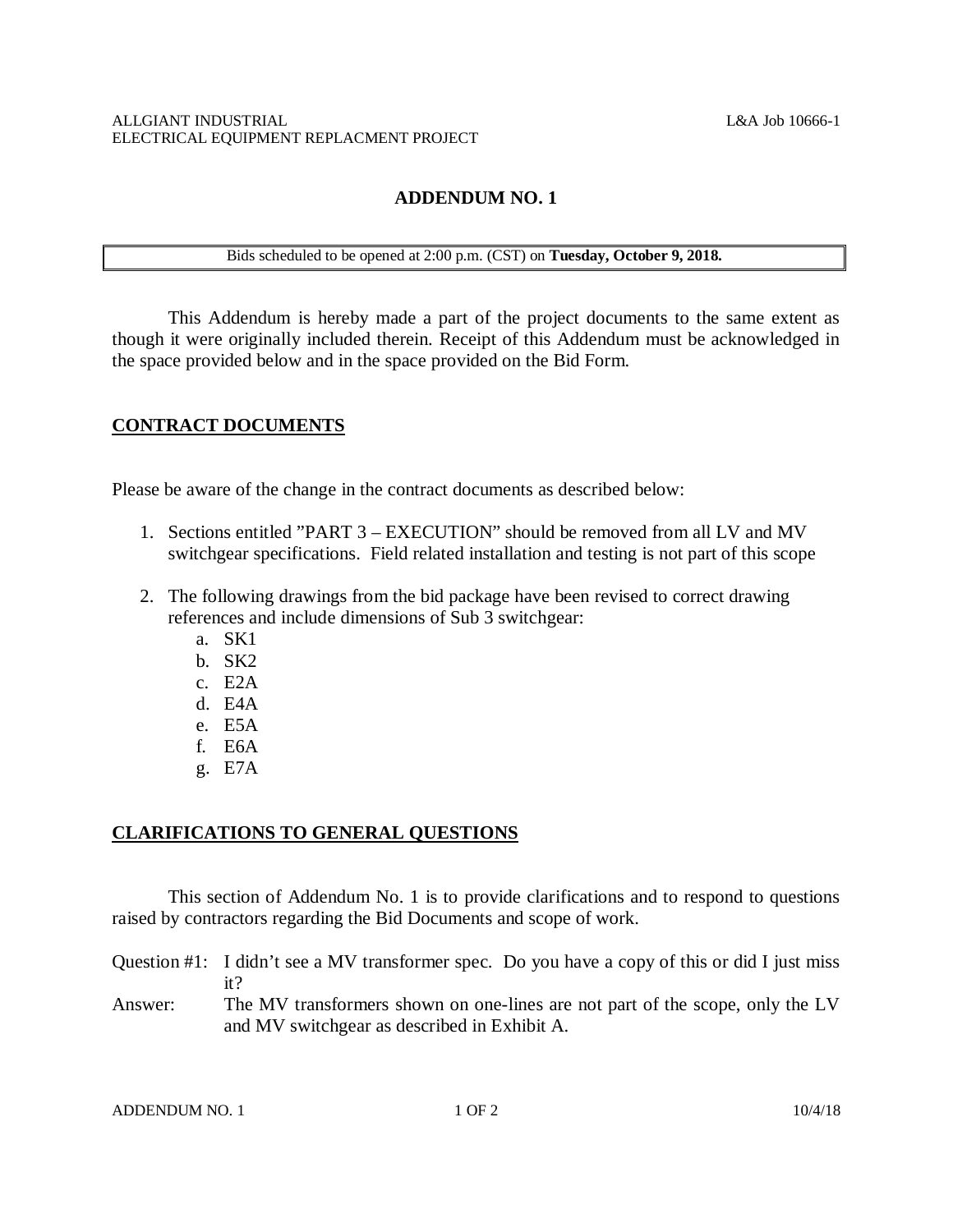# **ADDENDUM NO. 1**

# Bids scheduled to be opened at 2:00 p.m. (CST) on **Tuesday, October 9, 2018.**

This Addendum is hereby made a part of the project documents to the same extent as though it were originally included therein. Receipt of this Addendum must be acknowledged in the space provided below and in the space provided on the Bid Form.

## **CONTRACT DOCUMENTS**

Please be aware of the change in the contract documents as described below:

- 1. Sections entitled "PART 3 EXECUTION" should be removed from all LV and MV switchgear specifications. Field related installation and testing is not part of this scope
- 2. The following drawings from the bid package have been revised to correct drawing references and include dimensions of Sub 3 switchgear:
	- a. SK1
	- b. SK2
	- c. E2A
	- d. E4A
	- e. E5A
	- f. E6A
	- g. E7A

### **CLARIFICATIONS TO GENERAL QUESTIONS**

This section of Addendum No. 1 is to provide clarifications and to respond to questions raised by contractors regarding the Bid Documents and scope of work.

Question #1: I didn't see a MV transformer spec. Do you have a copy of this or did I just miss it?

Answer: The MV transformers shown on one-lines are not part of the scope, only the LV and MV switchgear as described in Exhibit A.

ADDENDUM NO. 1 1 OF 2 10/4/18